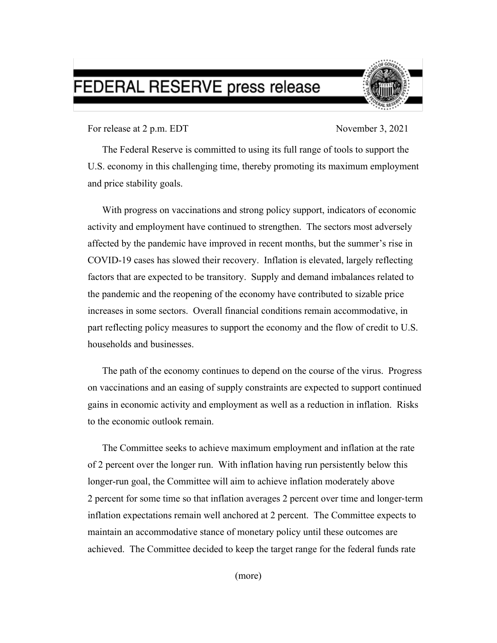## FEDERAL RESERVE press release



For release at 2 p.m. EDT November 3, 2021

The Federal Reserve is committed to using its full range of tools to support the U.S. economy in this challenging time, thereby promoting its maximum employment and price stability goals.

With progress on vaccinations and strong policy support, indicators of economic activity and employment have continued to strengthen. The sectors most adversely affected by the pandemic have improved in recent months, but the summer's rise in COVID-19 cases has slowed their recovery. Inflation is elevated, largely reflecting factors that are expected to be transitory.Supply and demand imbalances related to the pandemic and the reopening of the economy have contributed to sizable price increases in some sectors. Overall financial conditions remain accommodative, in part reflecting policy measures to support the economy and the flow of credit to U.S. households and businesses.

The path of the economy continues to depend on the course of the virus. Progress on vaccinations and an easing of supply constraints are expected to support continued gains in economic activity and employment as well as a reduction in inflation. Risks to the economic outlook remain.

The Committee seeks to achieve maximum employment and inflation at the rate of 2 percent over the longer run. With inflation having run persistently below this longer-run goal, the Committee will aim to achieve inflation moderately above 2 percent for some time so that inflation averages 2 percent over time and longer-term inflation expectations remain well anchored at 2 percent. The Committee expects to maintain an accommodative stance of monetary policy until these outcomes are achieved. The Committee decided to keep the target range for the federal funds rate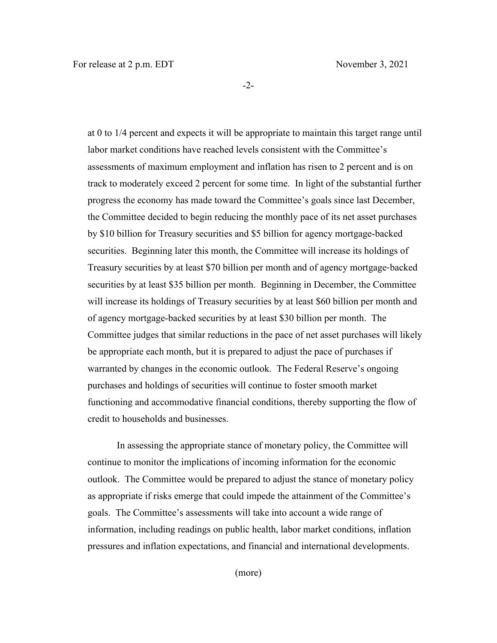-2-

at 0 to 1/4 percent and expects it will be appropriate to maintain this target range until labor market conditions have reached levels consistent with the Committee's assessments of maximum employment and inflation has risen to 2 percent and is on track to moderately exceed 2 percent for some time. In light of the substantial further progress the economy has made toward the Committee's goals since last December, the Committee decided to begin reducing the monthly pace of its net asset purchases by \$10 billion for Treasury securities and \$5 billion for agency mortgage-backed securities. Beginning later this month, the Committee will increase its holdings of Treasury securities by at least \$70 billion per month and of agency mortgage‑backed securities by at least \$35 billion per month. Beginning in December, the Committee will increase its holdings of Treasury securities by at least \$60 billion per month and of agency mortgage-backed securities by at least \$30 billion per month. The Committee judges that similar reductions in the pace of net asset purchases will likely be appropriate each month, but it is prepared to adjust the pace of purchases if warranted by changes in the economic outlook.The Federal Reserve's ongoing purchases and holdings of securities will continue to foster smooth market functioning and accommodative financial conditions, thereby supporting the flow of credit to households and businesses.

In assessing the appropriate stance of monetary policy, the Committee will continue to monitor the implications of incoming information for the economic outlook. The Committee would be prepared to adjust the stance of monetary policy as appropriate if risks emerge that could impede the attainment of the Committee's goals. The Committee's assessments will take into account a wide range of information, including readings on public health, labor market conditions, inflation pressures and inflation expectations, and financial and international developments.

(more)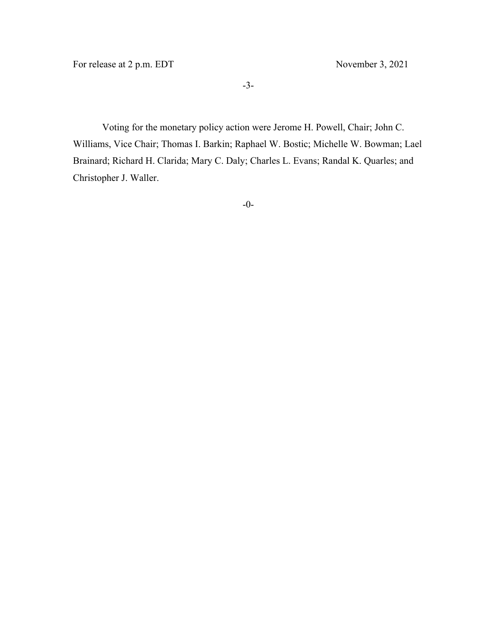For release at 2 p.m. EDT November 3, 2021

Voting for the monetary policy action were Jerome H. Powell, Chair; John C. Williams, Vice Chair; Thomas I. Barkin; Raphael W. Bostic; Michelle W. Bowman; Lael Brainard; Richard H. Clarida; Mary C. Daly; Charles L. Evans; Randal K. Quarles; and Christopher J. Waller.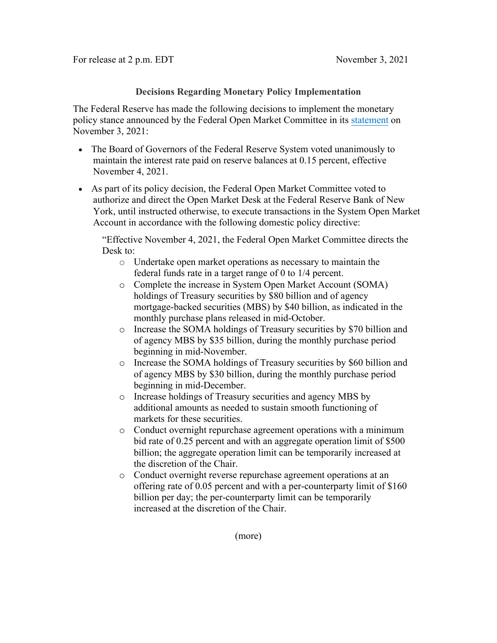## **Decisions Regarding Monetary Policy Implementation**

The Federal Reserve has made the following decisions to implement the monetary policy stance announced by the Federal Open Market Committee in its [statement](https://www.federalreserve.gov/newsevents/pressreleases/monetary20211103a.htm) on November 3, 2021:

- The Board of Governors of the Federal Reserve System voted unanimously to maintain the interest rate paid on reserve balances at 0.15 percent, effective November 4, 2021.
- As part of its policy decision, the Federal Open Market Committee voted to authorize and direct the Open Market Desk at the Federal Reserve Bank of New York, until instructed otherwise, to execute transactions in the System Open Market Account in accordance with the following domestic policy directive:

"Effective November 4, 2021, the Federal Open Market Committee directs the Desk to:

- o Undertake open market operations as necessary to maintain the federal funds rate in a target range of 0 to 1/4 percent.
- o Complete the increase in System Open Market Account (SOMA) holdings of Treasury securities by \$80 billion and of agency mortgage-backed securities (MBS) by \$40 billion, as indicated in the monthly purchase plans released in mid-October.
- o Increase the SOMA holdings of Treasury securities by \$70 billion and of agency MBS by \$35 billion, during the monthly purchase period beginning in mid-November.
- o Increase the SOMA holdings of Treasury securities by \$60 billion and of agency MBS by \$30 billion, during the monthly purchase period beginning in mid-December.
- o Increase holdings of Treasury securities and agency MBS by additional amounts as needed to sustain smooth functioning of markets for these securities.
- o Conduct overnight repurchase agreement operations with a minimum bid rate of 0.25 percent and with an aggregate operation limit of \$500 billion; the aggregate operation limit can be temporarily increased at the discretion of the Chair.
- o Conduct overnight reverse repurchase agreement operations at an offering rate of 0.05 percent and with a per-counterparty limit of \$160 billion per day; the per-counterparty limit can be temporarily increased at the discretion of the Chair.

(more)